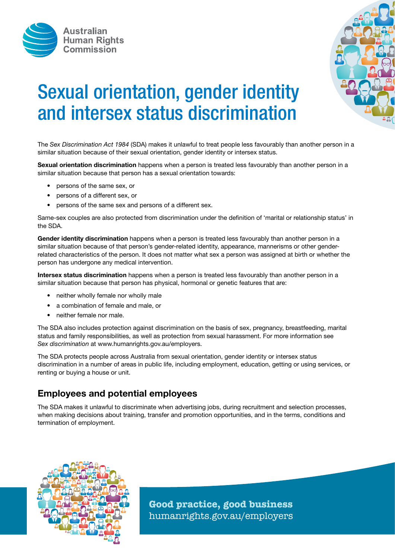



# Sexual orientation, gender identity and intersex status discrimination

The *Sex Discrimination Act 1984* (SDA) makes it unlawful to treat people less favourably than another person in a similar situation because of their sexual orientation, gender identity or intersex status.

Sexual orientation discrimination happens when a person is treated less favourably than another person in a similar situation because that person has a sexual orientation towards:

- persons of the same sex, or
- persons of a different sex, or
- persons of the same sex and persons of a different sex.

Same-sex couples are also protected from discrimination under the definition of 'marital or relationship status' in the SDA.

Gender identity discrimination happens when a person is treated less favourably than another person in a similar situation because of that person's gender-related identity, appearance, mannerisms or other genderrelated characteristics of the person. It does not matter what sex a person was assigned at birth or whether the person has undergone any medical intervention.

Intersex status discrimination happens when a person is treated less favourably than another person in a similar situation because that person has physical, hormonal or genetic features that are:

- neither wholly female nor wholly male
- a combination of female and male, or
- neither female nor male.

The SDA also includes protection against discrimination on the basis of sex, pregnancy, breastfeeding, marital status and family responsibilities, as well as protection from sexual harassment. For more information see *Sex discrimination* at www.humanrights.gov.au/employers.

The SDA protects people across Australia from sexual orientation, gender identity or intersex status discrimination in a number of areas in public life, including employment, education, getting or using services, or renting or buying a house or unit.

## Employees and potential employees

The SDA makes it unlawful to discriminate when advertising jobs, during recruitment and selection processes, when making decisions about training, transfer and promotion opportunities, and in the terms, conditions and termination of employment.



**Good practice, good business** humanrights.gov.au/employers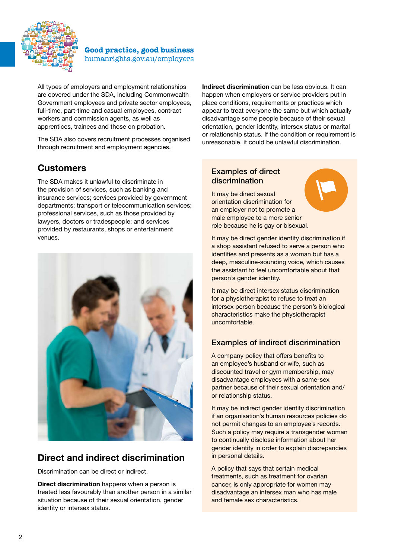

**Good practice, good business** humanrights.gov.au/employers

All types of employers and employment relationships are covered under the SDA, including Commonwealth Government employees and private sector employees, full-time, part-time and casual employees, contract workers and commission agents, as well as apprentices, trainees and those on probation.

The SDA also covers recruitment processes organised through recruitment and employment agencies.

# **Customers**

The SDA makes it unlawful to discriminate in the provision of services, such as banking and insurance services; services provided by government departments; transport or telecommunication services; professional services, such as those provided by lawyers, doctors or tradespeople; and services provided by restaurants, shops or entertainment venues.



## Direct and indirect discrimination

Discrimination can be direct or indirect.

Direct discrimination happens when a person is treated less favourably than another person in a similar situation because of their sexual orientation, gender identity or intersex status.

Indirect discrimination can be less obvious. It can happen when employers or service providers put in place conditions, requirements or practices which appear to treat everyone the same but which actually disadvantage some people because of their sexual orientation, gender identity, intersex status or marital or relationship status. If the condition or requirement is unreasonable, it could be unlawful discrimination.

#### Examples of direct discrimination

It may be direct sexual orientation discrimination for an employer not to promote a male employee to a more senior role because he is gay or bisexual.

It may be direct gender identity discrimination if a shop assistant refused to serve a person who identifies and presents as a woman but has a deep, masculine-sounding voice, which causes

person's gender identity. It may be direct intersex status discrimination for a physiotherapist to refuse to treat an intersex person because the person's biological characteristics make the physiotherapist uncomfortable.

the assistant to feel uncomfortable about that

## Examples of indirect discrimination

A company policy that offers benefits to an employee's husband or wife, such as discounted travel or gym membership, may disadvantage employees with a same-sex partner because of their sexual orientation and/ or relationship status.

It may be indirect gender identity discrimination if an organisation's human resources policies do not permit changes to an employee's records. Such a policy may require a transgender woman to continually disclose information about her gender identity in order to explain discrepancies in personal details.

A policy that says that certain medical treatments, such as treatment for ovarian cancer, is only appropriate for women may disadvantage an intersex man who has male and female sex characteristics.